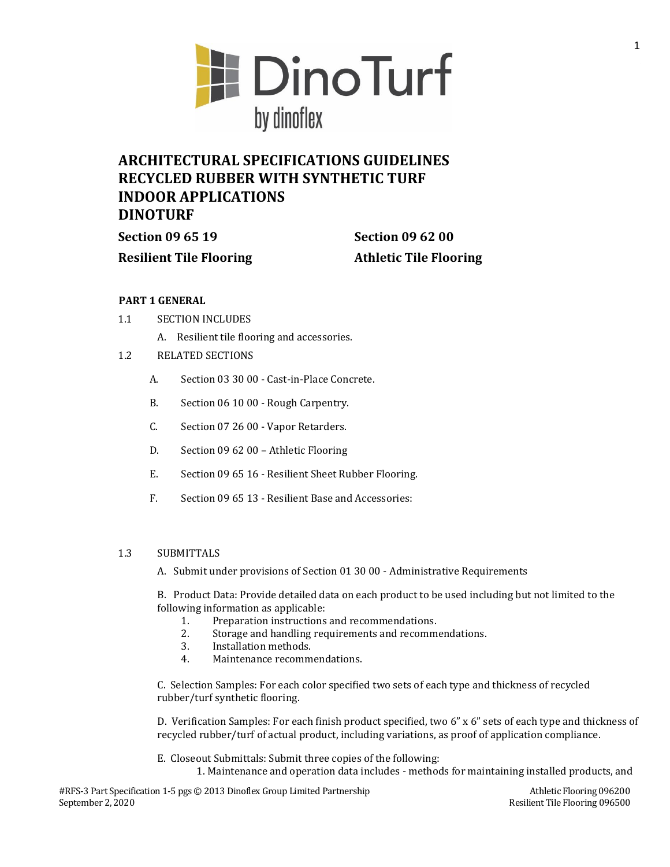

# **ARCHITECTURAL SPECIFICATIONS GUIDELINES RECYCLED RUBBER WITH SYNTHETIC TURF INDOOR APPLICATIONS DINOTURF**

**Section 09 65 19 Section 09 62 00**

**Resilient Tile Flooring Athletic Tile Flooring**

## **PART 1 GENERAL**

- 1.1 SECTION INCLUDES
	- A. Resilient tile flooring and accessories.
- 1.2 RELATED SECTIONS
	- A. Section 03 30 00 Cast-in-Place Concrete.
	- B. Section 06 10 00 Rough Carpentry.
	- C. Section 07 26 00 Vapor Retarders.
	- D. Section 09 62 00 Athletic Flooring
	- E. Section 09 65 16 Resilient Sheet Rubber Flooring.
	- F. Section 09 65 13 Resilient Base and Accessories:

## 1.3 SUBMITTALS

A. Submit under provisions of Section 01 30 00 - Administrative Requirements

B. Product Data: Provide detailed data on each product to be used including but not limited to the following information as applicable:

- 1. Preparation instructions and recommendations.
- 2. Storage and handling requirements and recommendations.
- 3. Installation methods.
- 4. Maintenance recommendations.

C. Selection Samples: For each color specified two sets of each type and thickness of recycled rubber/turf synthetic flooring.

D. Verification Samples: For each finish product specified, two 6" x 6" sets of each type and thickness of recycled rubber/turf of actual product, including variations, as proof of application compliance.

E. Closeout Submittals: Submit three copies of the following:

1. Maintenance and operation data includes - methods for maintaining installed products, and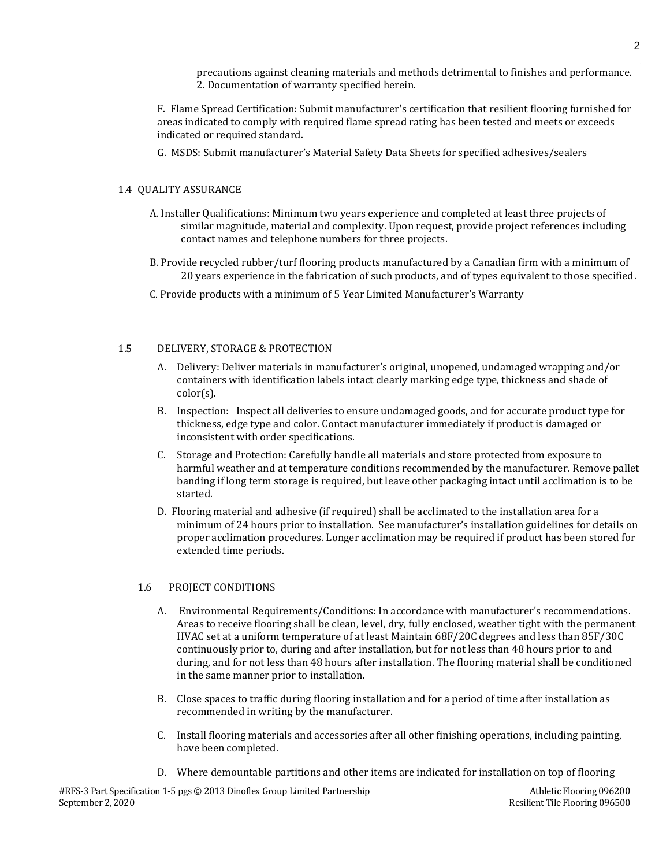precautions against cleaning materials and methods detrimental to finishes and performance. 2. Documentation of warranty specified herein.

F. Flame Spread Certification: Submit manufacturer's certification that resilient flooring furnished for areas indicated to comply with required flame spread rating has been tested and meets or exceeds indicated or required standard.

G. MSDS: Submit manufacturer's Material Safety Data Sheets for specified adhesives/sealers

#### 1.4 QUALITY ASSURANCE

- A. Installer Qualifications: Minimum two years experience and completed at least three projects of similar magnitude, material and complexity. Upon request, provide project references including contact names and telephone numbers for three projects.
- B. Provide recycled rubber/turf flooring products manufactured by a Canadian firm with a minimum of 20 years experience in the fabrication of such products, and of types equivalent to those specified.
- C. Provide products with a minimum of 5 Year Limited Manufacturer's Warranty

#### 1.5 DELIVERY, STORAGE & PROTECTION

- A. Delivery: Deliver materials in manufacturer's original, unopened, undamaged wrapping and/or containers with identification labels intact clearly marking edge type, thickness and shade of color(s).
- B. Inspection: Inspect all deliveries to ensure undamaged goods, and for accurate product type for thickness, edge type and color. Contact manufacturer immediately if product is damaged or inconsistent with order specifications.
- C. Storage and Protection: Carefully handle all materials and store protected from exposure to harmful weather and at temperature conditions recommended by the manufacturer. Remove pallet banding if long term storage is required, but leave other packaging intact until acclimation is to be started.
- D. Flooring material and adhesive (if required) shall be acclimated to the installation area for a minimum of 24 hours prior to installation. See manufacturer's installation guidelines for details on proper acclimation procedures. Longer acclimation may be required if product has been stored for extended time periods.

## 1.6 PROJECT CONDITIONS

- A. Environmental Requirements/Conditions: In accordance with manufacturer's recommendations. Areas to receive flooring shall be clean, level, dry, fully enclosed, weather tight with the permanent HVAC set at a uniform temperature of at least Maintain 68F/20C degrees and less than 85F/30C continuously prior to, during and after installation, but for not less than 48 hours prior to and during, and for not less than 48 hours after installation. The flooring material shall be conditioned in the same manner prior to installation.
- B. Close spaces to traffic during flooring installation and for a period of time after installation as recommended in writing by the manufacturer.
- C. Install flooring materials and accessories after all other finishing operations, including painting, have been completed.
- D. Where demountable partitions and other items are indicated for installation on top of flooring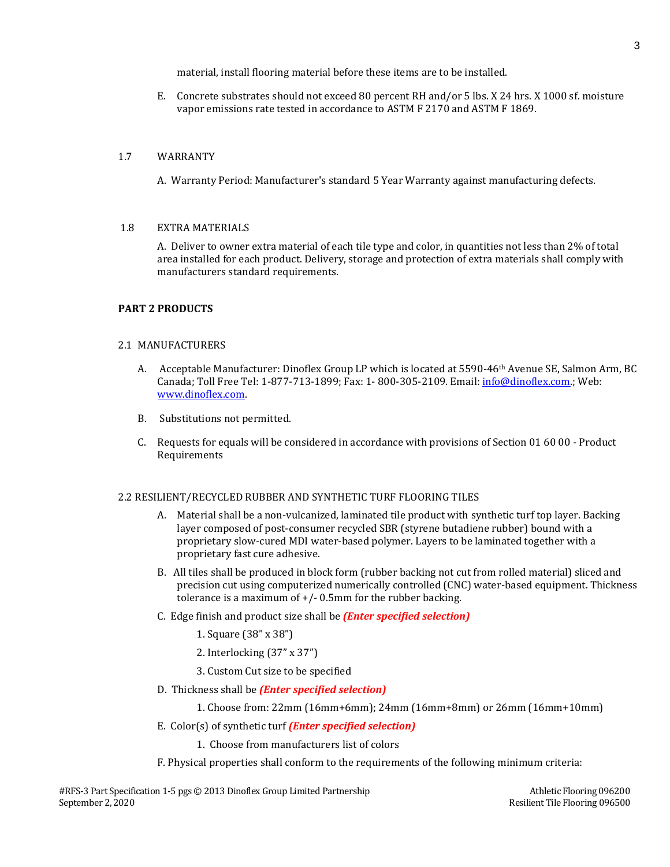material, install flooring material before these items are to be installed.

E. Concrete substrates should not exceed 80 percent RH and/or 5 lbs. X 24 hrs. X 1000 sf. moisture vapor emissions rate tested in accordance to ASTM F 2170 and ASTM F 1869.

## 1.7 WARRANTY

A. Warranty Period: Manufacturer's standard 5 Year Warranty against manufacturing defects.

#### 1.8 EXTRA MATERIALS

A. Deliver to owner extra material of each tile type and color, in quantities not less than 2% of total area installed for each product. Delivery, storage and protection of extra materials shall comply with manufacturers standard requirements.

## **PART 2 PRODUCTS**

#### 2.1 MANUFACTURERS

- A. Acceptable Manufacturer: Dinoflex Group LP which is located at 5590-46th Avenue SE, Salmon Arm, BC Canada; Toll Free Tel: 1-877-713-1899; Fax: 1- 800-305-2109. Email: [info@dinoflex.com.;](mailto:info@dinoflex.com) Web: [www.dinoflex.com.](http://www.dinoflex.com/)
- B. Substitutions not permitted.
- C. Requests for equals will be considered in accordance with provisions of Section 01 60 00 Product Requirements

#### 2.2 RESILIENT/RECYCLED RUBBER AND SYNTHETIC TURF FLOORING TILES

- A. Material shall be a non-vulcanized, laminated tile product with synthetic turf top layer. Backing layer composed of post-consumer recycled SBR (styrene butadiene rubber) bound with a proprietary slow-cured MDI water-based polymer. Layers to be laminated together with a proprietary fast cure adhesive.
- B. All tiles shall be produced in block form (rubber backing not cut from rolled material) sliced and precision cut using computerized numerically controlled (CNC) water-based equipment. Thickness tolerance is a maximum of  $+/-$  0.5mm for the rubber backing.
- C. Edge finish and product size shall be *(Enter specified selection)*
	- 1. Square (38" x 38")
	- 2. Interlocking (37" x 37")
	- 3. Custom Cut size to be specified
- D. Thickness shall be *(Enter specified selection)*

1. Choose from: 22mm (16mm+6mm); 24mm (16mm+8mm) or 26mm (16mm+10mm)

- E. Color(s) of synthetic turf *(Enter specified selection)*
	- 1. Choose from manufacturers list of colors
- F. Physical properties shall conform to the requirements of the following minimum criteria: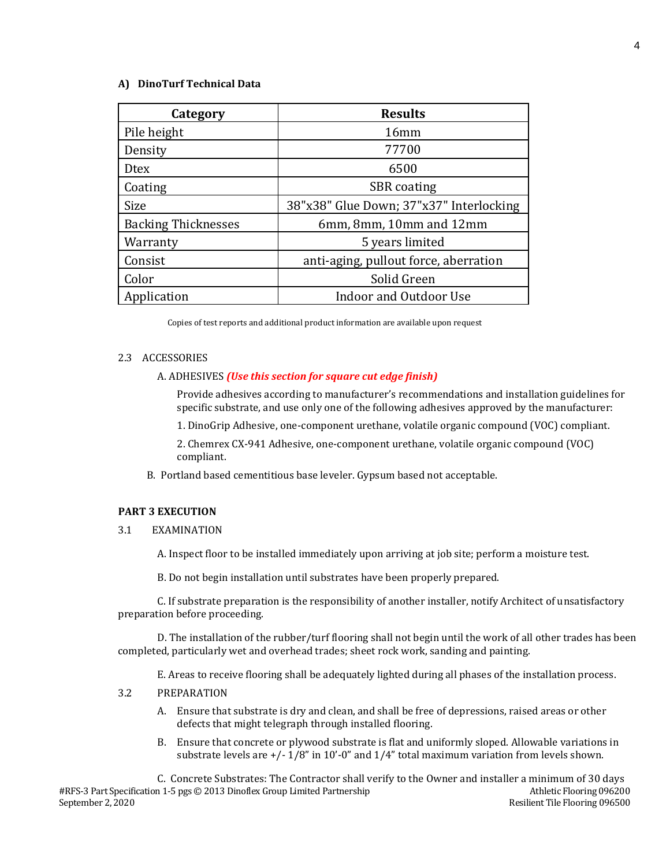### **A) DinoTurf Technical Data**

| Category                   | <b>Results</b>                          |
|----------------------------|-----------------------------------------|
| Pile height                | 16mm                                    |
| Density                    | 77700                                   |
| Dtex                       | 6500                                    |
| Coating                    | <b>SBR</b> coating                      |
| Size                       | 38"x38" Glue Down; 37"x37" Interlocking |
| <b>Backing Thicknesses</b> | 6mm, 8mm, 10mm and 12mm                 |
| Warranty                   | 5 years limited                         |
| Consist                    | anti-aging, pullout force, aberration   |
| Color                      | Solid Green                             |
| Application                | <b>Indoor and Outdoor Use</b>           |

Copies of test reports and additional product information are available upon request

#### 2.3 ACCESSORIES

#### A. ADHESIVES *(Use this section for square cut edge finish)*

Provide adhesives according to manufacturer's recommendations and installation guidelines for specific substrate, and use only one of the following adhesives approved by the manufacturer:

1. DinoGrip Adhesive, one-component urethane, volatile organic compound (VOC) compliant.

2. Chemrex CX-941 Adhesive, one-component urethane, volatile organic compound (VOC) compliant.

B. Portland based cementitious base leveler. Gypsum based not acceptable.

#### **PART 3 EXECUTION**

3.1 EXAMINATION

A. Inspect floor to be installed immediately upon arriving at job site; perform a moisture test.

B. Do not begin installation until substrates have been properly prepared.

C. If substrate preparation is the responsibility of another installer, notify Architect of unsatisfactory preparation before proceeding.

D. The installation of the rubber/turf flooring shall not begin until the work of all other trades has been completed, particularly wet and overhead trades; sheet rock work, sanding and painting.

E. Areas to receive flooring shall be adequately lighted during all phases of the installation process.

## 3.2 PREPARATION

- A. Ensure that substrate is dry and clean, and shall be free of depressions, raised areas or other defects that might telegraph through installed flooring.
- B. Ensure that concrete or plywood substrate is flat and uniformly sloped. Allowable variations in substrate levels are +/- 1/8" in 10'-0" and 1/4" total maximum variation from levels shown.

#RFS-3 Part Specification 1-5 pgs © 2013 Dinoflex Group Limited Partnership Athletic Flooring 096200 September 2, 2020 Resilient Tile Flooring 096500 C. Concrete Substrates: The Contractor shall verify to the Owner and installer a minimum of 30 days